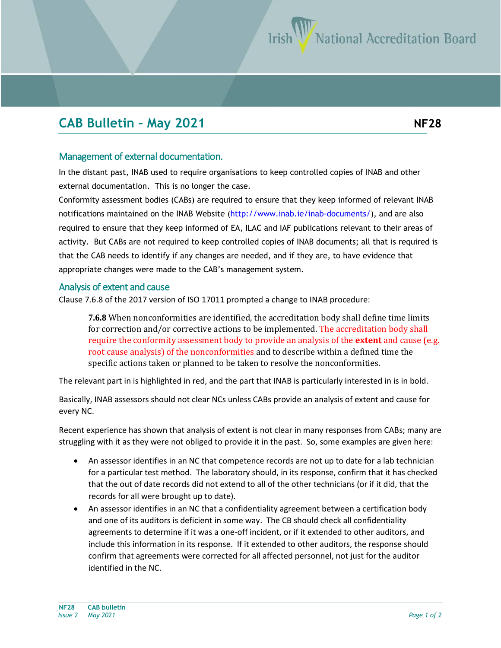## **CAB Bulletin – May 2021 NF28**

## Management of external documentation.

In the distant past, INAB used to require organisations to keep controlled copies of INAB and other external documentation. This is no longer the case.

Conformity assessment bodies (CABs) are required to ensure that they keep informed of relevant INAB notifications maintained on the INAB Website [\(http://www.inab.ie](http://www.inab.ie/inab-documents/)/inab-documents/), and are also required to ensure that they keep informed of EA, ILAC and IAF publications relevant to their areas of activity. But CABs are not required to keep controlled copies of INAB documents; all that is required is that the CAB needs to identify if any changes are needed, and if they are, to have evidence that appropriate changes were made to the CAB's management system.

## Analysis of extent and cause

Clause 7.6.8 of the 2017 version of ISO 17011 prompted a change to INAB procedure:

**7.6.8** When nonconformities are identified, the accreditation body shall define time limits for correction and/or corrective actions to be implemented. The accreditation body shall require the conformity assessment body to provide an analysis of the **extent** and cause (e.g. root cause analysis) of the nonconformities and to describe within a defined time the specific actions taken or planned to be taken to resolve the nonconformities.

The relevant part in is highlighted in red, and the part that INAB is particularly interested in is in bold.

Basically, INAB assessors should not clear NCs unless CABs provide an analysis of extent and cause for every NC.

Recent experience has shown that analysis of extent is not clear in many responses from CABs; many are struggling with it as they were not obliged to provide it in the past. So, some examples are given here:

- An assessor identifies in an NC that competence records are not up to date for a lab technician for a particular test method. The laboratory should, in its response, confirm that it has checked that the out of date records did not extend to all of the other technicians (or if it did, that the records for all were brought up to date).
- An assessor identifies in an NC that a confidentiality agreement between a certification body and one of its auditors is deficient in some way. The CB should check all confidentiality agreements to determine if it was a one-off incident, or if it extended to other auditors, and include this information in its response. If it extended to other auditors, the response should confirm that agreements were corrected for all affected personnel, not just for the auditor identified in the NC.